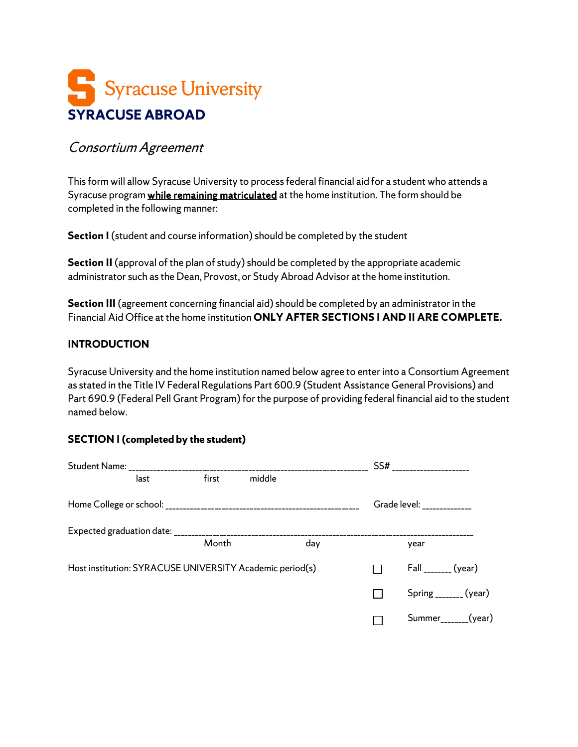# Syracuse University **SYRACUSE ABROAD**

## Consortium Agreement

This form will allow Syracuse University to process federal financial aid for a student who attends a Syracuse program while remaining matriculated at the home institution. The form should be completed in the following manner:

**Section I** (student and course information) should be completed by the student

**Section II** (approval of the plan of study) should be completed by the appropriate academic administrator such as the Dean, Provost, or Study Abroad Advisor at the home institution.

**Section III** (agreement concerning financial aid) should be completed by an administrator in the Financial Aid Office at the home institution **ONLY AFTER SECTIONS I AND II ARE COMPLETE.**

### **INTRODUCTION**

Syracuse University and the home institution named below agree to enter into a Consortium Agreement as stated in the Title IV Federal Regulations Part 600.9 (Student Assistance General Provisions) and Part 690.9 (Federal Pell Grant Program) for the purpose of providing federal financial aid to the student named below.

### **SECTION I (completed by the student)**

|                                                          |      |       |        |     | SS# | -----------------                  |
|----------------------------------------------------------|------|-------|--------|-----|-----|------------------------------------|
|                                                          | last | first | middle |     |     |                                    |
|                                                          |      |       |        |     |     | Grade level: ______________        |
|                                                          |      |       |        |     |     |                                    |
|                                                          |      | Month |        | day |     | year                               |
| Host institution: SYRACUSE UNIVERSITY Academic period(s) |      |       |        |     |     | $Fall$ <sub>_______</sub> (year)   |
|                                                          |      |       |        |     |     | $Spring$ <sub>_______</sub> (year) |
|                                                          |      |       |        |     |     | Summer <sub>_______</sub> (year)   |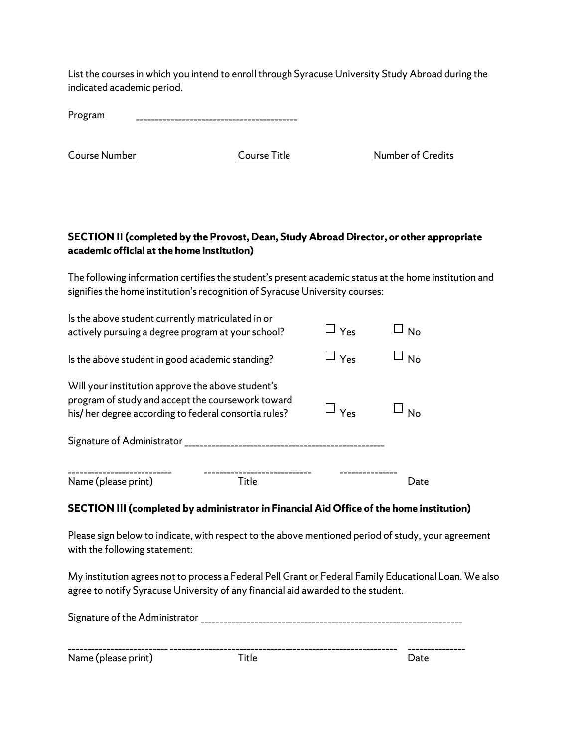List the courses in which you intend to enroll through Syracuse University Study Abroad during the indicated academic period.

**Course Number Course Title** Course Title Number of Credits

### **SECTION II (completed by the Provost, Dean, Study Abroad Director, or other appropriate academic official at the home institution)**

The following information certifies the student's present academic status at the home institution and signifies the home institution's recognition of Syracuse University courses:

| Name (please print)<br>Title                                                                                                                                   |                              | l )ate         |
|----------------------------------------------------------------------------------------------------------------------------------------------------------------|------------------------------|----------------|
| Signature of Administrator<br>-------------------------------------                                                                                            |                              |                |
| Will your institution approve the above student's<br>program of study and accept the coursework toward<br>his/her degree according to federal consortia rules? | $\overline{\phantom{a}}$ Yes | N <sub>0</sub> |
| Is the above student in good academic standing?                                                                                                                | $\sqcup$ $_{\mathsf{Yes}}$   | N <sub>o</sub> |
| Is the above student currently matriculated in or<br>actively pursuing a degree program at your school?                                                        | $\sqcup$ Yes                 | No             |

### **SECTION III (completed by administrator in Financial Aid Office of the home institution)**

Please sign below to indicate, with respect to the above mentioned period of study, your agreement with the following statement:

My institution agrees not to process a Federal Pell Grant or Federal Family Educational Loan. We also agree to notify Syracuse University of any financial aid awarded to the student.

| Signature of the Administrator |       |      |
|--------------------------------|-------|------|
|                                |       |      |
| Name (please print)            | Title | Date |